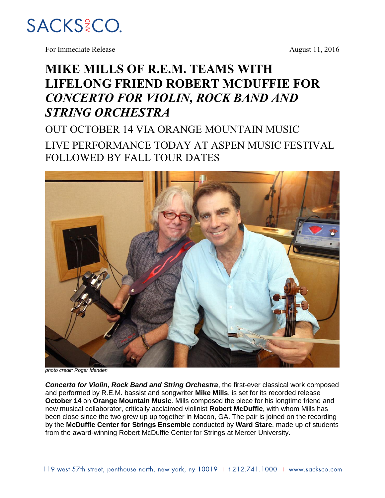

For Immediate Release August 11, 2016

## **MIKE MILLS OF R.E.M. TEAMS WITH LIFELONG FRIEND ROBERT MCDUFFIE FOR**  *CONCERTO FOR VIOLIN, ROCK BAND AND STRING ORCHESTRA*

OUT OCTOBER 14 VIA ORANGE MOUNTAIN MUSIC LIVE PERFORMANCE TODAY AT ASPEN MUSIC FESTIVAL FOLLOWED BY FALL TOUR DATES



*photo credit: Roger Idenden*

*Concerto for Violin, Rock Band and String Orchestra*, the first-ever classical work composed and performed by R.E.M. bassist and songwriter **Mike Mills**, is set for its recorded release **October 14** on **Orange Mountain Music**. Mills composed the piece for his longtime friend and new musical collaborator, critically acclaimed violinist **Robert McDuffie**, with whom Mills has been close since the two grew up up together in Macon, GA. The pair is joined on the recording by the **McDuffie Center for Strings Ensemble** conducted by **Ward Stare**, made up of students from the award-winning Robert McDuffie Center for Strings at Mercer University.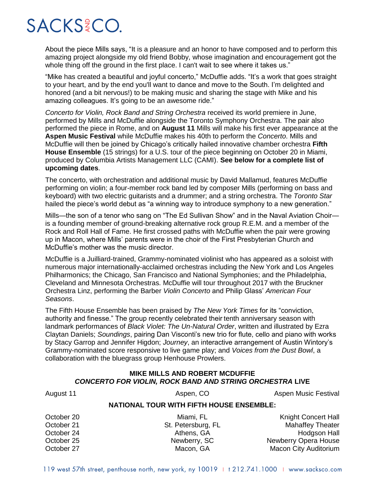## SACKS?CO.

About the piece Mills says, "It is a pleasure and an honor to have composed and to perform this amazing project alongside my old friend Bobby, whose imagination and encouragement got the whole thing off the ground in the first place. I can't wait to see where it takes us."

"Mike has created a beautiful and joyful concerto," McDuffie adds. "It's a work that goes straight to your heart, and by the end you'll want to dance and move to the South. I'm delighted and honored (and a bit nervous!) to be making music and sharing the stage with Mike and his amazing colleagues. It's going to be an awesome ride."

*Concerto for Violin, Rock Band and String Orchestra* received its world premiere in June, performed by Mills and McDuffie alongside the Toronto Symphony Orchestra. The pair also performed the piece in Rome, and on **August 11** Mills will make his first ever appearance at the **Aspen Music Festival** while McDuffie makes his 40th to perform the *Concerto*. Mills and McDuffie will then be joined by Chicago's critically hailed innovative chamber orchestra **Fifth House Ensemble** (15 strings) for a U.S. tour of the piece beginning on October 20 in Miami, produced by Columbia Artists Management LLC (CAMI). **See below for a complete list of upcoming dates**.

The concerto, with orchestration and additional music by David Mallamud, features McDuffie performing on violin; a four-member rock band led by composer Mills (performing on bass and keyboard) with two electric guitarists and a drummer; and a string orchestra. The *Toronto Star* hailed the piece's world debut as "a winning way to introduce symphony to a new generation."

Mills—the son of a tenor who sang on "The Ed Sullivan Show" and in the Naval Aviation Choir is a founding member of ground-breaking alternative rock group R.E.M. and a member of the Rock and Roll Hall of Fame. He first crossed paths with McDuffie when the pair were growing up in Macon, where Mills' parents were in the choir of the First Presbyterian Church and McDuffie's mother was the music director.

McDuffie is a Juilliard-trained, Grammy-nominated violinist who has appeared as a soloist with numerous major internationally-acclaimed orchestras including the New York and Los Angeles Philharmonics; the Chicago, San Francisco and National Symphonies; and the Philadelphia, Cleveland and Minnesota Orchestras. McDuffie will tour throughout 2017 with the Bruckner Orchestra Linz, performing the Barber *Violin Concerto* and Philip Glass' *American Four Seasons*.

The Fifth House Ensemble has been praised by *The New York Times* for its "conviction, authority and finesse." The group recently celebrated their tenth anniversary season with landmark performances of *Black Violet: The Un-Natural Order*, written and illustrated by Ezra Claytan Daniels; *Soundings*, pairing Dan Visconti's new trio for flute, cello and piano with works by Stacy Garrop and Jennifer Higdon; *Journey*, an interactive arrangement of Austin Wintory's Grammy-nominated score responsive to live game play; and *Voices from the Dust Bowl*, a collaboration with the bluegrass group Henhouse Prowlers.

## **MIKE MILLS AND ROBERT MCDUFFIE** *CONCERTO FOR VIOLIN, ROCK BAND AND STRING ORCHESTRA* **LIVE**

| August 11                                       | Aspen, CO          | <b>Aspen Music Festival</b>  |
|-------------------------------------------------|--------------------|------------------------------|
| <b>NATIONAL TOUR WITH FIFTH HOUSE ENSEMBLE:</b> |                    |                              |
| October 20                                      | Miami, FL          | <b>Knight Concert Hall</b>   |
| October 21                                      | St. Petersburg, FL | <b>Mahaffey Theater</b>      |
| October 24                                      | Athens, GA         | Hodgson Hall                 |
| October 25                                      | Newberry, SC       | Newberry Opera House         |
| October 27                                      | Macon, GA          | <b>Macon City Auditorium</b> |

119 west 57th street, penthouse north, new york, ny 10019 + + 212.741.1000 + www.sacksco.com